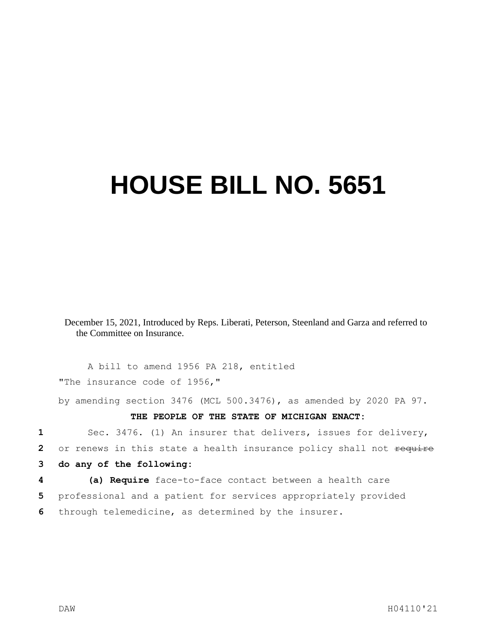## **HOUSE BILL NO. 5651**

December 15, 2021, Introduced by Reps. Liberati, Peterson, Steenland and Garza and referred to the Committee on Insurance.

A bill to amend 1956 PA 218, entitled "The insurance code of 1956,"

by amending section 3476 (MCL 500.3476), as amended by 2020 PA 97.

**THE PEOPLE OF THE STATE OF MICHIGAN ENACT:**

 Sec. 3476. (1) An insurer that delivers, issues for delivery, or renews in this state a health insurance policy shall not require **do any of the following: (a) Require** face-to-face contact between a health care professional and a patient for services appropriately provided

**6** through telemedicine, as determined by the insurer.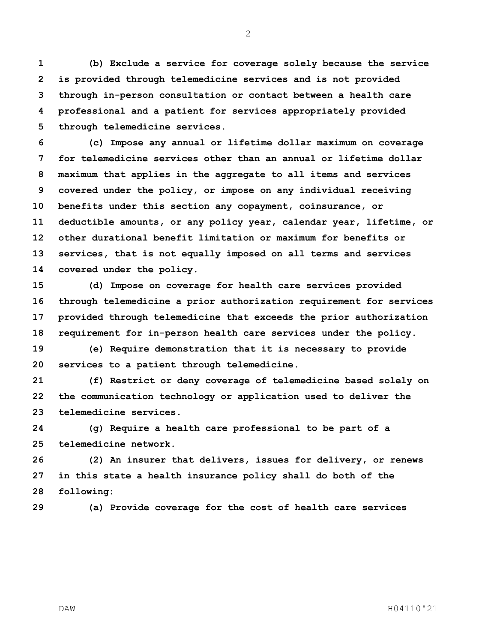**(b) Exclude a service for coverage solely because the service is provided through telemedicine services and is not provided through in-person consultation or contact between a health care professional and a patient for services appropriately provided through telemedicine services.**

 **(c) Impose any annual or lifetime dollar maximum on coverage for telemedicine services other than an annual or lifetime dollar maximum that applies in the aggregate to all items and services covered under the policy, or impose on any individual receiving benefits under this section any copayment, coinsurance, or deductible amounts, or any policy year, calendar year, lifetime, or other durational benefit limitation or maximum for benefits or services, that is not equally imposed on all terms and services covered under the policy.**

 **(d) Impose on coverage for health care services provided through telemedicine a prior authorization requirement for services provided through telemedicine that exceeds the prior authorization requirement for in-person health care services under the policy.**

 **(e) Require demonstration that it is necessary to provide services to a patient through telemedicine.**

 **(f) Restrict or deny coverage of telemedicine based solely on the communication technology or application used to deliver the telemedicine services.**

 **(g) Require a health care professional to be part of a telemedicine network.**

 **(2) An insurer that delivers, issues for delivery, or renews in this state a health insurance policy shall do both of the following:**

**(a) Provide coverage for the cost of health care services** 

DAW H04110'21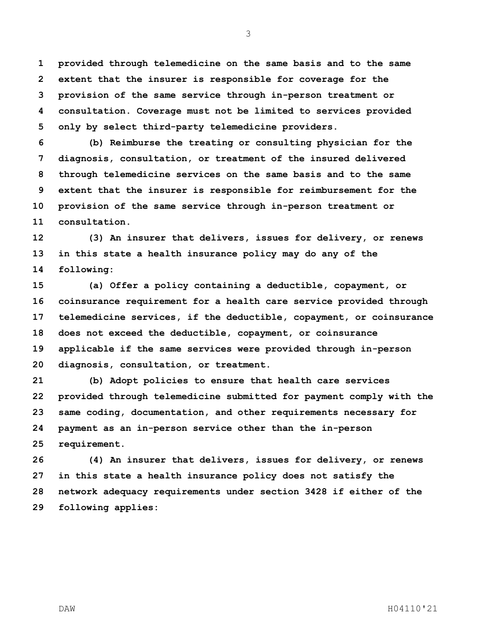**provided through telemedicine on the same basis and to the same extent that the insurer is responsible for coverage for the provision of the same service through in-person treatment or consultation. Coverage must not be limited to services provided only by select third-party telemedicine providers.**

 **(b) Reimburse the treating or consulting physician for the diagnosis, consultation, or treatment of the insured delivered through telemedicine services on the same basis and to the same extent that the insurer is responsible for reimbursement for the provision of the same service through in-person treatment or consultation.**

 **(3) An insurer that delivers, issues for delivery, or renews in this state a health insurance policy may do any of the following:**

 **(a) Offer a policy containing a deductible, copayment, or coinsurance requirement for a health care service provided through telemedicine services, if the deductible, copayment, or coinsurance does not exceed the deductible, copayment, or coinsurance applicable if the same services were provided through in-person diagnosis, consultation, or treatment.**

 **(b) Adopt policies to ensure that health care services provided through telemedicine submitted for payment comply with the same coding, documentation, and other requirements necessary for payment as an in-person service other than the in-person requirement.**

 **(4) An insurer that delivers, issues for delivery, or renews in this state a health insurance policy does not satisfy the network adequacy requirements under section 3428 if either of the following applies:**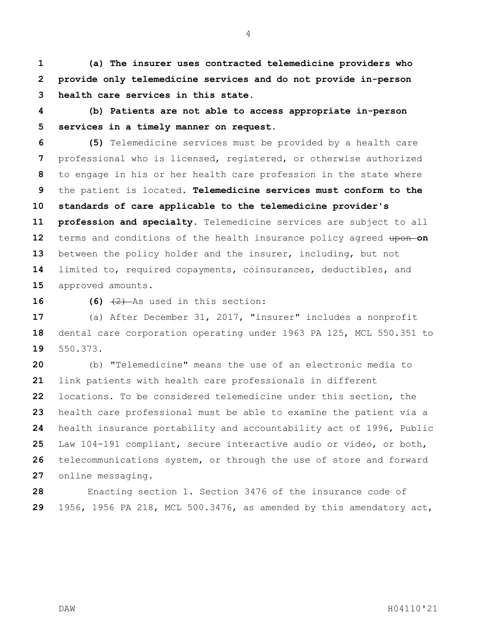**(a) The insurer uses contracted telemedicine providers who provide only telemedicine services and do not provide in-person health care services in this state.**

 **(b) Patients are not able to access appropriate in-person services in a timely manner on request.** 

 **(5)** Telemedicine services must be provided by a health care professional who is licensed, registered, or otherwise authorized to engage in his or her health care profession in the state where the patient is located. **Telemedicine services must conform to the standards of care applicable to the telemedicine provider's profession and specialty.** Telemedicine services are subject to all terms and conditions of the health insurance policy agreed upon-on between the policy holder and the insurer, including, but not limited to, required copayments, coinsurances, deductibles, and approved amounts.

**16 (6)**  $\left(\frac{2}{2}\right)$  As used in this section:

 (a) After December 31, 2017, "insurer" includes a nonprofit dental care corporation operating under 1963 PA 125, MCL 550.351 to 550.373.

 (b) "Telemedicine" means the use of an electronic media to link patients with health care professionals in different locations. To be considered telemedicine under this section, the health care professional must be able to examine the patient via a health insurance portability and accountability act of 1996, Public Law 104-191 compliant, secure interactive audio or video, or both, telecommunications system, or through the use of store and forward online messaging.

 Enacting section 1. Section 3476 of the insurance code of 1956, 1956 PA 218, MCL 500.3476, as amended by this amendatory act,